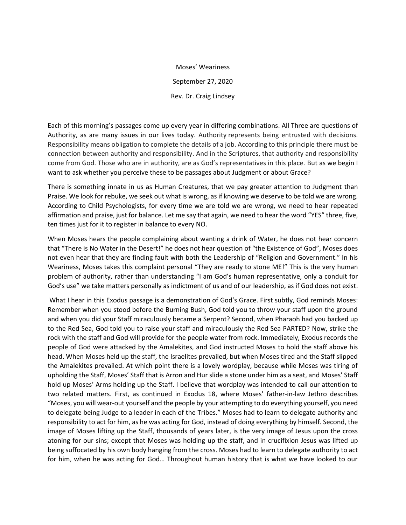Moses' Weariness September 27, 2020 Rev. Dr. Craig Lindsey

Each of this morning's passages come up every year in differing combinations. All Three are questions of Authority, as are many issues in our lives today. Authority represents being entrusted with decisions. Responsibility means obligation to complete the details of a job. According to this principle there must be connection between authority and responsibility. And in the Scriptures, that authority and responsibility come from God. Those who are in authority, are as God's representatives in this place. But as we begin I want to ask whether you perceive these to be passages about Judgment or about Grace?

There is something innate in us as Human Creatures, that we pay greater attention to Judgment than Praise. We look for rebuke, we seek out what is wrong, as if knowing we deserve to be told we are wrong. According to Child Psychologists, for every time we are told we are wrong, we need to hear repeated affirmation and praise, just for balance. Let me say that again, we need to hear the word "YES" three, five, ten times just for it to register in balance to every NO.

When Moses hears the people complaining about wanting a drink of Water, he does not hear concern that "There is No Water in the Desert!" he does not hear question of "the Existence of God", Moses does not even hear that they are finding fault with both the Leadership of "Religion and Government." In his Weariness, Moses takes this complaint personal "They are ready to stone ME!" This is the very human problem of authority, rather than understanding "I am God's human representative, only a conduit for God's use" we take matters personally as indictment of us and of our leadership, as if God does not exist.

What I hear in this Exodus passage is a demonstration of God's Grace. First subtly, God reminds Moses: Remember when you stood before the Burning Bush, God told you to throw your staff upon the ground and when you did your Staff miraculously became a Serpent? Second, when Pharaoh had you backed up to the Red Sea, God told you to raise your staff and miraculously the Red Sea PARTED? Now, strike the rock with the staff and God will provide for the people water from rock. Immediately, Exodus records the people of God were attacked by the Amalekites, and God instructed Moses to hold the staff above his head. When Moses held up the staff, the Israelites prevailed, but when Moses tired and the Staff slipped the Amalekites prevailed. At which point there is a lovely wordplay, because while Moses was tiring of upholding the Staff, Moses' Staff that is Arron and Hur slide a stone under him as a seat, and Moses' Staff hold up Moses' Arms holding up the Staff. I believe that wordplay was intended to call our attention to two related matters. First, as continued in Exodus 18, where Moses' father-in-law Jethro describes "Moses, you will wear-out yourself and the people by your attempting to do everything yourself, you need to delegate being Judge to a leader in each of the Tribes." Moses had to learn to delegate authority and responsibility to act for him, as he was acting for God, instead of doing everything by himself. Second, the image of Moses lifting up the Staff, thousands of years later, is the very image of Jesus upon the cross atoning for our sins; except that Moses was holding up the staff, and in crucifixion Jesus was lifted up being suffocated by his own body hanging from the cross. Moses had to learn to delegate authority to act for him, when he was acting for God… Throughout human history that is what we have looked to our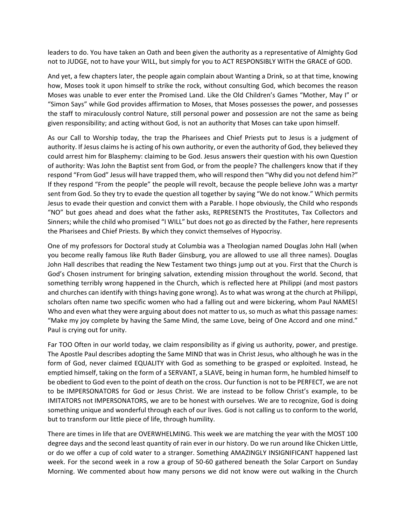leaders to do. You have taken an Oath and been given the authority as a representative of Almighty God not to JUDGE, not to have your WILL, but simply for you to ACT RESPONSIBLY WITH the GRACE of GOD.

And yet, a few chapters later, the people again complain about Wanting a Drink, so at that time, knowing how, Moses took it upon himself to strike the rock, without consulting God, which becomes the reason Moses was unable to ever enter the Promised Land. Like the Old Children's Games "Mother, May I" or "Simon Says" while God provides affirmation to Moses, that Moses possesses the power, and possesses the staff to miraculously control Nature, still personal power and possession are not the same as being given responsibility; and acting without God, is not an authority that Moses can take upon himself.

As our Call to Worship today, the trap the Pharisees and Chief Priests put to Jesus is a judgment of authority. If Jesus claims he is acting of his own authority, or even the authority of God, they believed they could arrest him for Blasphemy: claiming to be God. Jesus answers their question with his own Question of authority: Was John the Baptist sent from God, or from the people? The challengers know that if they respond "From God" Jesus will have trapped them, who will respond then "Why did you not defend him?" If they respond "From the people" the people will revolt, because the people believe John was a martyr sent from God. So they try to evade the question all together by saying "We do not know." Which permits Jesus to evade their question and convict them with a Parable. I hope obviously, the Child who responds "NO" but goes ahead and does what the father asks, REPRESENTS the Prostitutes, Tax Collectors and Sinners; while the child who promised "I WILL" but does not go as directed by the Father, here represents the Pharisees and Chief Priests. By which they convict themselves of Hypocrisy.

One of my professors for Doctoral study at Columbia was a Theologian named Douglas John Hall (when you become really famous like Ruth Bader Ginsburg, you are allowed to use all three names). Douglas John Hall describes that reading the New Testament two things jump out at you. First that the Church is God's Chosen instrument for bringing salvation, extending mission throughout the world. Second, that something terribly wrong happened in the Church, which is reflected here at Philippi (and most pastors and churches can identify with things having gone wrong). As to what was wrong at the church at Philippi, scholars often name two specific women who had a falling out and were bickering, whom Paul NAMES! Who and even what they were arguing about does not matter to us, so much as what this passage names: "Make my joy complete by having the Same Mind, the same Love, being of One Accord and one mind." Paul is crying out for unity.

Far TOO Often in our world today, we claim responsibility as if giving us authority, power, and prestige. The Apostle Paul describes adopting the Same MIND that was in Christ Jesus, who although he was in the form of God, never claimed EQUALITY with God as something to be grasped or exploited. Instead, he emptied himself, taking on the form of a SERVANT, a SLAVE, being in human form, he humbled himself to be obedient to God even to the point of death on the cross. Our function is not to be PERFECT, we are not to be IMPERSONATORS for God or Jesus Christ. We are instead to be follow Christ's example, to be IMITATORS not IMPERSONATORS, we are to be honest with ourselves. We are to recognize, God is doing something unique and wonderful through each of our lives. God is not calling us to conform to the world, but to transform our little piece of life, through humility.

There are times in life that are OVERWHELMING. This week we are matching the year with the MOST 100 degree days and the second least quantity of rain ever in our history. Do we run around like Chicken Little, or do we offer a cup of cold water to a stranger. Something AMAZINGLY INSIGNIFICANT happened last week. For the second week in a row a group of 50-60 gathered beneath the Solar Carport on Sunday Morning. We commented about how many persons we did not know were out walking in the Church